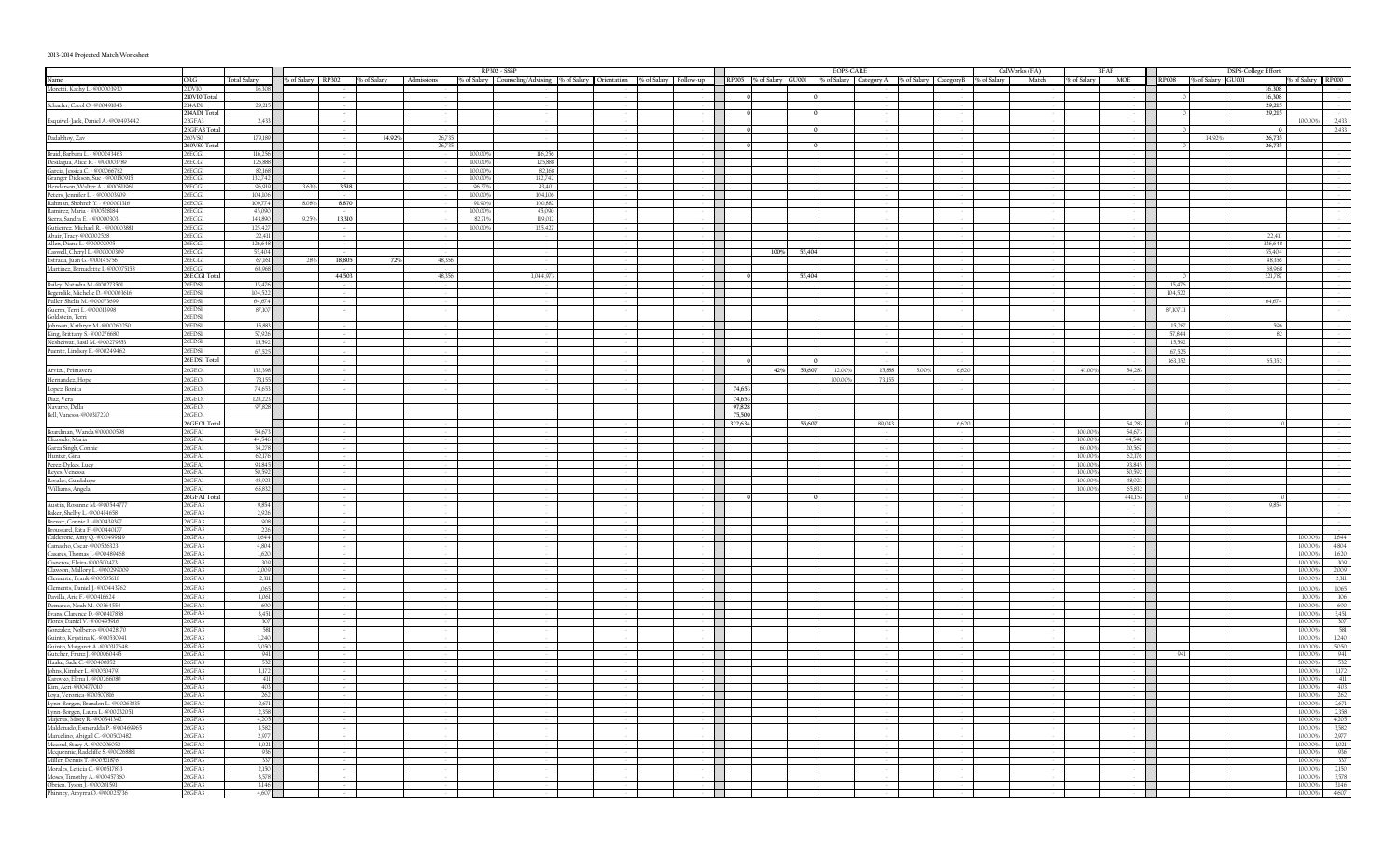## **2013-2014 Projected Match Worksheet**

|                                                                                                                                                                                                                                                        |                        |                    |       |                   |             |        |                   | RP302 - SSSP                                                                             |  |                                    |                                                                                   |      |        | <b>EOPS-CARE</b> |        |       |       | CalWorks (FA) |                 | <b>BFAP</b>      |          |                         | <b>DSPS-College Effort</b> |                              |  |  |
|--------------------------------------------------------------------------------------------------------------------------------------------------------------------------------------------------------------------------------------------------------|------------------------|--------------------|-------|-------------------|-------------|--------|-------------------|------------------------------------------------------------------------------------------|--|------------------------------------|-----------------------------------------------------------------------------------|------|--------|------------------|--------|-------|-------|---------------|-----------------|------------------|----------|-------------------------|----------------------------|------------------------------|--|--|
| Name                                                                                                                                                                                                                                                   | ORG                    | Total Salary       |       | % of Salary RP302 | % of Salary |        |                   | Admissions % of Salary Counseling/Advising % of Salary Orientation % of Salary Follow-up |  |                                    | RP005 % of Salary GU001 % of Salary Category A % of Salary Category B % of Salary |      |        |                  |        |       |       | Match         | % of Salary     | <b>MOE</b>       |          | RP008 % of Salary GU001 | % of Salary RP000          |                              |  |  |
| Moretti, Kathy L. @00003930                                                                                                                                                                                                                            | 210VI0                 | 16,308             |       |                   |             |        |                   |                                                                                          |  |                                    |                                                                                   |      |        |                  |        |       |       |               |                 |                  |          |                         | 16,308                     |                              |  |  |
|                                                                                                                                                                                                                                                        | 210VI0 Total           |                    |       |                   |             |        |                   |                                                                                          |  | . .                                |                                                                                   |      |        |                  |        |       |       |               |                 |                  |          |                         | 16,308                     |                              |  |  |
| Schaefer, Carol O. @00491843                                                                                                                                                                                                                           | 214AD1<br>214ADI Total | 29.215             |       |                   |             |        |                   |                                                                                          |  |                                    |                                                                                   |      |        |                  |        |       |       |               |                 |                  |          |                         | 29.215                     |                              |  |  |
| Esquivel-Jack, Daniel A. @00493442                                                                                                                                                                                                                     | 23GFA3                 | 2.433              |       |                   |             |        |                   |                                                                                          |  | I.<br>I.                           |                                                                                   |      |        |                  |        |       |       |               |                 |                  |          |                         | 29,215<br>100.00%          | 2,433                        |  |  |
|                                                                                                                                                                                                                                                        | 23GFA3 Total           |                    |       |                   |             |        |                   |                                                                                          |  |                                    |                                                                                   |      |        |                  |        |       |       |               |                 |                  |          |                         |                            | 2,433                        |  |  |
| Dadabhoy, Zav                                                                                                                                                                                                                                          | 60VS0                  | 179,189            |       |                   | 14.92%      | 26,735 |                   |                                                                                          |  |                                    |                                                                                   |      |        |                  |        |       |       |               |                 |                  |          | 14.92%                  | 26,735                     |                              |  |  |
|                                                                                                                                                                                                                                                        | 60VS0 Total            |                    |       |                   |             | 26,735 |                   |                                                                                          |  |                                    |                                                                                   |      |        |                  |        |       |       |               |                 |                  |          |                         | 26,735                     |                              |  |  |
| Braid, Barbara L. - @00243463                                                                                                                                                                                                                          | ECGI<br>ECGI           | 116,256<br>125,888 |       |                   |             |        | 100.00<br>100.00  | 116,256<br>125,888                                                                       |  |                                    |                                                                                   |      |        |                  |        |       |       |               |                 |                  |          |                         |                            |                              |  |  |
| Braile, Barbara L. e00243463<br>(Secondary C. e00243463<br>García, Jessica C. e00006782<br>García, Jessica C. e00066782<br>García, Jessica C. e00150913<br>(Secondary Marc A. e005191961<br>Renters, Jennifer, L. e0000399<br>Ramirez, Mark            | 6ECG1                  | 82,168             |       |                   |             |        | 100.00            | 82,168                                                                                   |  |                                    |                                                                                   |      |        |                  |        |       |       |               |                 |                  |          |                         |                            |                              |  |  |
|                                                                                                                                                                                                                                                        | 6ECG1                  | 132,742            |       |                   |             |        | 100.009           | 132,742                                                                                  |  | I.                                 |                                                                                   |      |        |                  |        |       |       |               |                 |                  |          |                         |                            |                              |  |  |
|                                                                                                                                                                                                                                                        | 26ECG1                 | 96,919             | 3.63% | 3,518             |             |        | 96.37%            | 93,401                                                                                   |  | <b>Contract</b>                    |                                                                                   |      |        |                  |        |       |       |               |                 |                  |          |                         |                            |                              |  |  |
|                                                                                                                                                                                                                                                        | 26ECGL                 | 104 106            |       |                   |             |        | 100.009           | 104106                                                                                   |  |                                    |                                                                                   |      |        |                  |        |       |       |               |                 |                  |          |                         |                            |                              |  |  |
|                                                                                                                                                                                                                                                        | 26ECG1<br>26ECG1       | 109,774<br>45,090  | 8.08% | 8,870             |             |        | 91.909<br>100,00% | 100.882<br>45,090                                                                        |  | <b>Contract</b>                    |                                                                                   |      |        |                  |        |       |       |               |                 |                  |          |                         |                            |                              |  |  |
|                                                                                                                                                                                                                                                        | 26ECG1                 | 143,890            | 9.25% | 13,310            |             |        | 82.719            | 119,012                                                                                  |  |                                    |                                                                                   |      |        |                  |        |       |       |               |                 |                  |          |                         |                            |                              |  |  |
|                                                                                                                                                                                                                                                        | 26ECG1                 | 125.427            |       |                   |             |        | 100,00%           | 125,427                                                                                  |  |                                    |                                                                                   |      |        |                  |        |       |       |               |                 |                  |          |                         |                            |                              |  |  |
|                                                                                                                                                                                                                                                        | 26ECG1                 | 22,411             |       |                   |             |        |                   |                                                                                          |  |                                    |                                                                                   |      |        |                  |        |       |       |               |                 |                  |          |                         |                            |                              |  |  |
| Allen, Diane L. @00002995                                                                                                                                                                                                                              | 26ECG1                 | 126,648            |       |                   |             |        |                   |                                                                                          |  |                                    |                                                                                   |      |        |                  |        |       |       |               |                 |                  |          |                         | 126,648                    |                              |  |  |
| Caswell, Cheryl L.-@00000309<br>Estrada, Juan G. @00145756                                                                                                                                                                                             | 26ECGI<br>26ECG1       | 55,404<br>67,161   | 28%   | 18,805            | 72%         | 48,356 |                   |                                                                                          |  | <b>Contract</b>                    | $\blacksquare$                                                                    | 100% | 55,404 |                  |        |       |       |               |                 |                  |          |                         | 55,404<br>48,356           |                              |  |  |
| Martinez, Bernadette I. @00075158                                                                                                                                                                                                                      | 26ECG1                 | 68,968             |       |                   |             |        |                   |                                                                                          |  | <b>Contract</b>                    |                                                                                   |      |        |                  |        |       |       |               |                 |                  |          |                         | 68,968                     |                              |  |  |
|                                                                                                                                                                                                                                                        | 26ECGI Tota            |                    |       | 44,503            |             | 48,356 |                   | 1,044,973                                                                                |  | . .                                |                                                                                   |      | 55,404 |                  |        |       |       |               |                 |                  |          |                         | 321,787                    |                              |  |  |
|                                                                                                                                                                                                                                                        | 26EDSI                 | 15,476             |       |                   |             |        |                   |                                                                                          |  |                                    |                                                                                   |      |        |                  |        |       |       |               |                 | a sa T           | 15,476   |                         |                            |                              |  |  |
|                                                                                                                                                                                                                                                        | 26EDSI                 | 104,522            |       |                   |             |        |                   |                                                                                          |  | . .                                |                                                                                   |      |        |                  |        |       |       |               |                 |                  | 104,522  |                         |                            |                              |  |  |
|                                                                                                                                                                                                                                                        | 26EDSI<br>26EDSI       | 64,674<br>87,107   |       |                   |             |        |                   |                                                                                          |  | . .                                |                                                                                   |      |        |                  |        |       |       |               |                 |                  | 87.107.1 |                         | 64,674                     |                              |  |  |
|                                                                                                                                                                                                                                                        | 26EDSI                 |                    |       |                   |             |        |                   |                                                                                          |  |                                    |                                                                                   |      |        |                  |        |       |       |               |                 |                  |          |                         |                            |                              |  |  |
| Bailey, Natasha M.-@00273501<br>Begendik, Michelle D.-@0003616<br>Fuller, Shelia M.-@00073699<br>Guerra, Terri L.-@00013998<br>Goldstein, Terri<br>L.-@0021998<br>[ohnson, Kathryn M.-@00269250<br>Xiesheiwat, Basil M.-@00276683<br>Nenkirkat, Basil  | 26EDSI                 | 15.883             |       |                   |             |        |                   |                                                                                          |  |                                    |                                                                                   |      |        |                  |        |       |       |               |                 |                  | 15,28    |                         | 506                        |                              |  |  |
|                                                                                                                                                                                                                                                        | 26EDSI                 | 57,926             |       |                   |             |        |                   |                                                                                          |  |                                    |                                                                                   |      |        |                  |        |       |       |               |                 |                  | 57.844   |                         |                            |                              |  |  |
|                                                                                                                                                                                                                                                        | 26EDSI                 | 15,592             |       |                   |             |        |                   |                                                                                          |  |                                    |                                                                                   |      |        |                  |        |       |       |               |                 |                  | 15,592   |                         |                            |                              |  |  |
|                                                                                                                                                                                                                                                        | 26EDSI                 | 67,525             |       |                   |             |        |                   |                                                                                          |  |                                    |                                                                                   |      |        |                  |        |       |       |               |                 |                  | 67,525   |                         |                            |                              |  |  |
|                                                                                                                                                                                                                                                        | 26EDSI Total           |                    |       |                   |             |        |                   |                                                                                          |  |                                    |                                                                                   |      |        |                  |        |       |       |               |                 |                  | 363,352  |                         | 6535                       |                              |  |  |
| Arvizu, Primavera                                                                                                                                                                                                                                      | 26GEO1                 | 132,398            |       |                   |             |        |                   |                                                                                          |  |                                    |                                                                                   | 42%  | 55,607 | 12.009           | 15,888 | 5.009 | 6,620 |               | 41.00           | 54,283           |          |                         |                            |                              |  |  |
| Hernandez, Hope                                                                                                                                                                                                                                        | 26GEO1                 | 73,155             |       |                   |             |        |                   |                                                                                          |  |                                    |                                                                                   |      |        | 100.00%          | 73,155 |       |       |               |                 |                  |          |                         |                            |                              |  |  |
| Lopez, Bonita                                                                                                                                                                                                                                          | 26GEO1<br>26GEO1       | 74,653<br>128.223  |       |                   |             |        |                   |                                                                                          |  | $\sim 10$                          | 74,65<br>74.653                                                                   |      |        |                  |        |       |       |               |                 |                  |          |                         |                            |                              |  |  |
| Diaz, Vera                                                                                                                                                                                                                                             | 26GEO1                 | 97,828             |       |                   |             |        |                   |                                                                                          |  | <b>STATE</b>                       | 97,828                                                                            |      |        |                  |        |       |       |               |                 |                  |          |                         |                            |                              |  |  |
| Navarro, Della<br>Bell, Vanessa-@00317220                                                                                                                                                                                                              | 26GEO1                 |                    |       |                   |             |        |                   |                                                                                          |  |                                    | 75,500                                                                            |      |        |                  |        |       |       |               |                 |                  |          |                         |                            |                              |  |  |
|                                                                                                                                                                                                                                                        | 26GEOI Tota            |                    |       |                   |             |        |                   |                                                                                          |  |                                    | 322,634                                                                           |      | 55,607 |                  | 89.043 |       | 6.620 |               |                 | 54 283           |          |                         |                            |                              |  |  |
| Boardman, Wanda @00000598<br>Elizondo, Maria                                                                                                                                                                                                           | 26GFA1                 | 54,673             |       |                   |             |        |                   |                                                                                          |  | $\sim 10$                          |                                                                                   |      |        |                  |        |       |       |               | 100.00          | 54,673           |          |                         |                            |                              |  |  |
|                                                                                                                                                                                                                                                        | 26GFA1                 | 44,546             |       |                   |             |        |                   |                                                                                          |  |                                    |                                                                                   |      |        |                  |        |       |       |               | 100.00          | 44,546           |          |                         |                            |                              |  |  |
| Garza Singh, Connie<br>Hunter, Gina                                                                                                                                                                                                                    | 26GFA1<br>26GFA1       | 34,278<br>62,176   |       |                   |             |        |                   |                                                                                          |  | I.                                 |                                                                                   |      |        |                  |        |       |       |               | 60.00<br>100.00 | 20,567<br>62,176 |          |                         |                            |                              |  |  |
| Perez-Dykes, Lucy                                                                                                                                                                                                                                      | 26GFA1                 | 93,845             |       |                   |             |        |                   |                                                                                          |  | <b>Contract</b>                    |                                                                                   |      |        |                  |        |       |       |               | 100.00          | 93,845           |          |                         |                            |                              |  |  |
| Reyes, Venessa                                                                                                                                                                                                                                         | 26GFA1                 | 50,592             |       |                   |             |        |                   |                                                                                          |  |                                    |                                                                                   |      |        |                  |        |       |       |               | 100.00          | 50,592           |          |                         |                            |                              |  |  |
| Rosales, Guadalupe<br>Williams, Angela                                                                                                                                                                                                                 | 26GFA1                 | 48,923             |       |                   |             |        |                   |                                                                                          |  | <b>Contract</b>                    |                                                                                   |      |        |                  |        |       |       |               | 100.009         | 48,923           |          |                         |                            |                              |  |  |
|                                                                                                                                                                                                                                                        | 26GFA1                 | 65.832             |       |                   |             |        |                   |                                                                                          |  | <b>Contract</b><br><b>Contract</b> |                                                                                   |      |        |                  |        |       |       |               | 100.00%         | 65,832           |          |                         |                            |                              |  |  |
|                                                                                                                                                                                                                                                        | 26GFAI Total<br>26GEA3 | 9.854              |       |                   |             |        |                   |                                                                                          |  | I.                                 |                                                                                   |      |        |                  |        |       |       |               |                 | 441,153          |          |                         | 9854                       |                              |  |  |
|                                                                                                                                                                                                                                                        | 26GFA3                 | 2,926              |       |                   |             |        |                   |                                                                                          |  | I.                                 |                                                                                   |      |        |                  |        |       |       |               |                 |                  |          |                         |                            |                              |  |  |
|                                                                                                                                                                                                                                                        | 6GEA3                  | 908                |       |                   |             |        |                   |                                                                                          |  | I.                                 |                                                                                   |      |        |                  |        |       |       |               |                 |                  |          |                         |                            |                              |  |  |
|                                                                                                                                                                                                                                                        | 6GFA3                  | 226                |       |                   |             |        |                   |                                                                                          |  |                                    |                                                                                   |      |        |                  |        |       |       |               |                 |                  |          |                         |                            |                              |  |  |
|                                                                                                                                                                                                                                                        | 6GFA3                  | 1,644              |       |                   |             |        |                   |                                                                                          |  |                                    |                                                                                   |      |        |                  |        |       |       |               |                 |                  |          |                         | 100.00%                    | 1,644                        |  |  |
| Austin, Rosame M. 400344777<br>Raker, Shelby L. 400444638<br>Brewer, Conta L. 400449397<br>Broussard, Rita F. 40043997<br>Caderone, Amy Q. 400499809<br>Camedo, O. Scar 400326323<br>Cassres, Thomas J. 400489468<br>Clarsens, Elvin 400300473<br>Clar | 6GFA3<br>6GFA3         | 4,804<br>1,620     |       |                   |             |        |                   |                                                                                          |  |                                    |                                                                                   |      |        |                  |        |       |       |               |                 |                  |          |                         | 100.00%<br>100.00%         | 4,804<br>1,620               |  |  |
|                                                                                                                                                                                                                                                        | 6GFA3                  | 309                |       |                   |             |        |                   |                                                                                          |  |                                    |                                                                                   |      |        |                  |        |       |       |               |                 |                  |          |                         | 100.00%                    | 309                          |  |  |
|                                                                                                                                                                                                                                                        | 6GFA3                  | 2,009              |       |                   |             |        |                   |                                                                                          |  |                                    |                                                                                   |      |        |                  |        |       |       |               |                 |                  |          |                         | 100.00%                    | 2,009                        |  |  |
|                                                                                                                                                                                                                                                        | 26GFA3                 | 2,311              |       |                   |             |        |                   |                                                                                          |  |                                    |                                                                                   |      |        |                  |        |       |       |               |                 |                  |          |                         | 100.00%                    | 2,311                        |  |  |
| Clements, Daniel J. @00443762                                                                                                                                                                                                                          | 26GFA3                 | 1,065              |       |                   |             |        |                   |                                                                                          |  |                                    |                                                                                   |      |        |                  |        |       |       |               |                 |                  |          |                         | 100.00%                    | 1,065                        |  |  |
| Davilla, Aric F.-@00416624<br>Demarco, Noah M.-00364554                                                                                                                                                                                                | 26GFA3                 | 1,061              |       |                   |             |        |                   |                                                                                          |  |                                    |                                                                                   |      |        |                  |        |       |       |               |                 |                  |          |                         | 10.00%                     | 106                          |  |  |
| Evans, Clarence D.-@00417858                                                                                                                                                                                                                           | 26GFA3<br>26GFA3       | 690<br>3,451       |       |                   |             |        |                   |                                                                                          |  | <b>Contract</b>                    |                                                                                   |      |        |                  |        |       |       |               |                 |                  |          |                         | 100.00%                    | 690<br>100.00% 3,451         |  |  |
|                                                                                                                                                                                                                                                        | 26GEA3                 | 307                |       |                   |             |        |                   |                                                                                          |  | I.                                 |                                                                                   |      |        |                  |        |       |       |               |                 |                  |          |                         | 100.00%                    | 307                          |  |  |
| Funs, Glarenc D. 460041788<br>Education C. 20041788<br>Gonzalez, Nolberto-6004-28170<br>Gonzalez, Nolberto-600428170<br>Guinto, Margaret A. 4000317648<br>Guircher, Franz J. 400030445<br>Guircher, Franz J. 400050445<br>Haake, Sade C. 400           | 26GFA3                 | 581                |       |                   |             |        |                   |                                                                                          |  |                                    |                                                                                   |      |        |                  |        |       |       |               |                 |                  |          |                         | 100.00%                    | 581                          |  |  |
|                                                                                                                                                                                                                                                        | 26GEA3                 | 1,240              |       |                   |             |        |                   |                                                                                          |  | I.                                 |                                                                                   |      |        |                  |        |       |       |               |                 |                  |          |                         | 100.00%                    | 1,240                        |  |  |
|                                                                                                                                                                                                                                                        | 26GFA3                 | 5.050              |       |                   |             |        |                   |                                                                                          |  |                                    |                                                                                   |      |        |                  |        |       |       |               |                 |                  |          |                         | 100.00%                    | 5,050                        |  |  |
|                                                                                                                                                                                                                                                        | 6GFA3<br>6GFA3         | 941<br>532         |       |                   |             |        |                   |                                                                                          |  |                                    |                                                                                   |      |        |                  |        |       |       |               |                 |                  |          |                         | 100.00%<br>100.00%         | 941<br>532                   |  |  |
|                                                                                                                                                                                                                                                        | 6GFA3                  | 1,172              |       |                   |             |        |                   |                                                                                          |  |                                    |                                                                                   |      |        |                  |        |       |       |               |                 |                  |          |                         | 100.00%                    | 1,172                        |  |  |
|                                                                                                                                                                                                                                                        | 6GFA3                  | 411                |       |                   |             |        |                   |                                                                                          |  |                                    |                                                                                   |      |        |                  |        |       |       |               |                 |                  |          |                         | 100.00%                    | $-411$                       |  |  |
|                                                                                                                                                                                                                                                        |                        |                    |       |                   |             |        |                   |                                                                                          |  |                                    |                                                                                   |      |        |                  |        |       |       |               |                 |                  |          |                         | 100.00%                    | 405 I                        |  |  |
|                                                                                                                                                                                                                                                        | 26GFA3<br>26GFA3       | 262<br>2,671       |       |                   |             |        |                   |                                                                                          |  | П<br>П                             |                                                                                   |      |        |                  |        |       |       |               |                 |                  |          |                         |                            | 100.00% 262<br>100.00% 2,671 |  |  |
| Kim, Aeri-@00477010<br>Loya, Veronica-@00507816<br>Lynn-Borgen, Brandon L-@00263835<br>Lynn-Borgen, Laura L-@00232051<br>Majerus, Misty R-@00341342<br>Maldonado, Esmeralda P.-@00469965                                                               | 26GEA3                 | 2,358              |       |                   |             |        |                   |                                                                                          |  |                                    | $\Box$                                                                            |      |        |                  |        |       |       |               |                 |                  |          |                         |                            | 100.00% 2,358                |  |  |
|                                                                                                                                                                                                                                                        | 26GFA3                 | 4,205              |       |                   |             |        |                   |                                                                                          |  |                                    | П                                                                                 |      |        |                  |        |       |       |               |                 | $\mathbf{I}$     |          |                         |                            | 100.00% 4,205                |  |  |
|                                                                                                                                                                                                                                                        | 26GEA3                 | 3,582              |       |                   |             |        |                   |                                                                                          |  |                                    | $\overline{\phantom{0}}$                                                          |      |        |                  |        |       |       |               |                 | . .              |          |                         |                            | 100.00% 3,582                |  |  |
| Marcelino, Abigail C. @00500482                                                                                                                                                                                                                        | 26GFA3                 | 2,977              |       |                   |             |        |                   |                                                                                          |  | П                                  |                                                                                   |      |        |                  |        |       |       |               |                 | $\mathbf{I}$     |          |                         |                            | 100.00% 2,977                |  |  |
| Marcelino, Angali C.~@00300462<br>Mccord, Stacy A.~@00296052<br>Mcquennie, Radcliffe S.~@00268881<br>Miller, Dennis T.~@00521876                                                                                                                       | 26GFA3<br>26GFA3       | 1.021<br>936       |       |                   |             |        |                   |                                                                                          |  | П                                  |                                                                                   |      |        |                  |        |       |       |               |                 | П                |          |                         | 100.00%                    | 100.00% 1,021<br>936         |  |  |
|                                                                                                                                                                                                                                                        | 26GFA3                 | 337                |       |                   |             |        |                   |                                                                                          |  |                                    |                                                                                   |      |        |                  |        |       |       |               |                 | <b>STATE</b>     |          |                         | 100.00%                    | 337                          |  |  |
| Morales, Leticia C. @00517833                                                                                                                                                                                                                          | 26GFA3                 | 2,150              |       |                   |             |        |                   |                                                                                          |  | П                                  |                                                                                   |      |        |                  |        |       |       |               |                 | . .              |          |                         |                            | 100.00% 2,150                |  |  |
| Moses, Timothy A.-@00457360                                                                                                                                                                                                                            | 26GFA3                 | 3,578              |       |                   |             |        |                   |                                                                                          |  | $\blacksquare$                     |                                                                                   |      |        |                  |        |       |       |               |                 | . .              |          |                         |                            | 100,00% 3.578                |  |  |
| Obrien, Tyson J. @00201591                                                                                                                                                                                                                             | 26GFA3                 | 3,146              |       |                   |             |        |                   |                                                                                          |  | $\blacksquare$                     |                                                                                   |      |        |                  |        |       |       |               |                 |                  |          |                         |                            | 100.00% 3,146                |  |  |
| Phinney, Amyrra O. @00025736                                                                                                                                                                                                                           | 26GFA3                 | 4,607              |       |                   |             |        |                   |                                                                                          |  | <b>Contract</b>                    |                                                                                   |      |        |                  |        |       |       |               |                 |                  |          |                         |                            | 100.00% 4,607                |  |  |